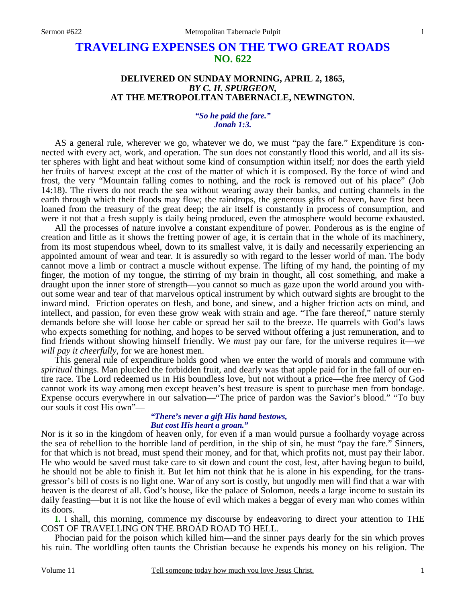# **TRAVELING EXPENSES ON THE TWO GREAT ROADS NO. 622**

## **DELIVERED ON SUNDAY MORNING, APRIL 2, 1865,**  *BY C. H. SPURGEON,*  **AT THE METROPOLITAN TABERNACLE, NEWINGTON.**

## *"So he paid the fare." Jonah 1:3.*

AS a general rule, wherever we go, whatever we do, we must "pay the fare." Expenditure is connected with every act, work, and operation. The sun does not constantly flood this world, and all its sister spheres with light and heat without some kind of consumption within itself; nor does the earth yield her fruits of harvest except at the cost of the matter of which it is composed. By the force of wind and frost, the very "Mountain falling comes to nothing, and the rock is removed out of his place" (Job 14:18). The rivers do not reach the sea without wearing away their banks, and cutting channels in the earth through which their floods may flow; the raindrops, the generous gifts of heaven, have first been loaned from the treasury of the great deep; the air itself is constantly in process of consumption, and were it not that a fresh supply is daily being produced, even the atmosphere would become exhausted.

 All the processes of nature involve a constant expenditure of power. Ponderous as is the engine of creation and little as it shows the fretting power of age, it is certain that in the whole of its machinery, from its most stupendous wheel, down to its smallest valve, it is daily and necessarily experiencing an appointed amount of wear and tear. It is assuredly so with regard to the lesser world of man. The body cannot move a limb or contract a muscle without expense. The lifting of my hand, the pointing of my finger, the motion of my tongue, the stirring of my brain in thought, all cost something, and make a draught upon the inner store of strength—you cannot so much as gaze upon the world around you without some wear and tear of that marvelous optical instrument by which outward sights are brought to the inward mind. Friction operates on flesh, and bone, and sinew, and a higher friction acts on mind, and intellect, and passion, for even these grow weak with strain and age. "The fare thereof," nature sternly demands before she will loose her cable or spread her sail to the breeze. He quarrels with God's laws who expects something for nothing, and hopes to be served without offering a just remuneration, and to find friends without showing himself friendly. We *must* pay our fare, for the universe requires it—*we will pay it cheerfully,* for we are honest men.

 This general rule of expenditure holds good when we enter the world of morals and commune with *spiritual* things. Man plucked the forbidden fruit, and dearly was that apple paid for in the fall of our entire race. The Lord redeemed us in His boundless love, but not without a price—the free mercy of God cannot work its way among men except heaven's best treasure is spent to purchase men from bondage. Expense occurs everywhere in our salvation—"The price of pardon was the Savior's blood." "To buy our souls it cost His own"—

## *"There's never a gift His hand bestows, But cost His heart a groan."*

Nor is it so in the kingdom of heaven only, for even if a man would pursue a foolhardy voyage across the sea of rebellion to the horrible land of perdition, in the ship of sin, he must "pay the fare." Sinners, for that which is not bread, must spend their money, and for that, which profits not, must pay their labor. He who would be saved must take care to sit down and count the cost, lest, after having begun to build, he should not be able to finish it. But let him not think that he is alone in his expending, for the transgressor's bill of costs is no light one. War of any sort is costly, but ungodly men will find that a war with heaven is the dearest of all. God's house, like the palace of Solomon, needs a large income to sustain its daily feasting—but it is not like the house of evil which makes a beggar of every man who comes within its doors.

**I.** I shall, this morning, commence my discourse by endeavoring to direct your attention to THE COST OF TRAVELLING ON THE BROAD ROAD TO HELL.

 Phocian paid for the poison which killed him—and the sinner pays dearly for the sin which proves his ruin. The worldling often taunts the Christian because he expends his money on his religion. The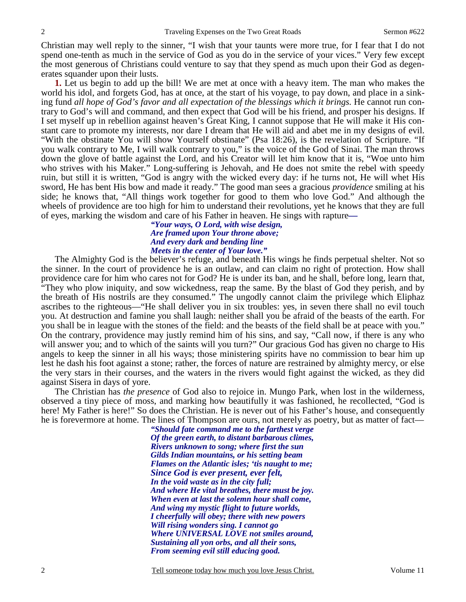Christian may well reply to the sinner, "I wish that your taunts were more true, for I fear that I do not spend one-tenth as much in the service of God as you do in the service of your vices." Very few except the most generous of Christians could venture to say that they spend as much upon their God as degenerates squander upon their lusts.

**1.** Let us begin to add up the bill! We are met at once with a heavy item. The man who makes the world his idol, and forgets God, has at once, at the start of his voyage, to pay down, and place in a sinking fund *all hope of God's favor and all expectation of the blessings which it brings.* He cannot run contrary to God's will and command, and then expect that God will be his friend, and prosper his designs. If I set myself up in rebellion against heaven's Great King, I cannot suppose that He will make it His constant care to promote my interests, nor dare I dream that He will aid and abet me in my designs of evil. "With the obstinate You will show Yourself obstinate" (Psa 18:26), is the revelation of Scripture. "If you walk contrary to Me, I will walk contrary to you," is the voice of the God of Sinai. The man throws down the glove of battle against the Lord, and his Creator will let him know that it is, "Woe unto him who strives with his Maker." Long-suffering is Jehovah, and He does not smite the rebel with speedy ruin, but still it is written, "God is angry with the wicked every day: if he turns not, He will whet His sword, He has bent His bow and made it ready." The good man sees a gracious *providence* smiling at his side; he knows that, "All things work together for good to them who love God." And although the wheels of providence are too high for him to understand their revolutions, yet he knows that they are full of eyes, marking the wisdom and care of his Father in heaven. He sings with rapture*—* 

#### *"Your ways, O Lord, with wise design, Are framed upon Your throne above; And every dark and bending line Meets in the center of Your love."*

 The Almighty God is the believer's refuge, and beneath His wings he finds perpetual shelter. Not so the sinner. In the court of providence he is an outlaw, and can claim no right of protection. How shall providence care for him who cares not for God? He is under its ban, and he shall, before long, learn that, "They who plow iniquity, and sow wickedness, reap the same. By the blast of God they perish, and by the breath of His nostrils are they consumed." The ungodly cannot claim the privilege which Eliphaz ascribes to the righteous—"He shall deliver you in six troubles: yes, in seven there shall no evil touch you. At destruction and famine you shall laugh: neither shall you be afraid of the beasts of the earth. For you shall be in league with the stones of the field: and the beasts of the field shall be at peace with you." On the contrary, providence may justly remind him of his sins, and say, "Call now, if there is any who will answer you; and to which of the saints will you turn?" Our gracious God has given no charge to His angels to keep the sinner in all his ways; those ministering spirits have no commission to bear him up lest he dash his foot against a stone; rather, the forces of nature are restrained by almighty mercy, or else the very stars in their courses, and the waters in the rivers would fight against the wicked, as they did against Sisera in days of yore.

 The Christian has *the presence* of God also to rejoice in. Mungo Park, when lost in the wilderness, observed a tiny piece of moss, and marking how beautifully it was fashioned, he recollected, "God is here! My Father is here!" So does the Christian. He is never out of his Father's house, and consequently he is forevermore at home. The lines of Thompson are ours, not merely as poetry, but as matter of fact—

> *"Should fate command me to the farthest verge Of the green earth, to distant barbarous climes, Rivers unknown to song; where first the sun Gilds Indian mountains, or his setting beam Flames on the Atlantic isles; 'tis naught to me; Since God is ever present, ever felt, In the void waste as in the city full; And where He vital breathes, there must be joy. When even at last the solemn hour shall come, And wing my mystic flight to future worlds, I cheerfully will obey; there with new powers Will rising wonders sing. I cannot go Where UNIVERSAL LOVE not smiles around, Sustaining all yon orbs, and all their sons, From seeming evil still educing good.*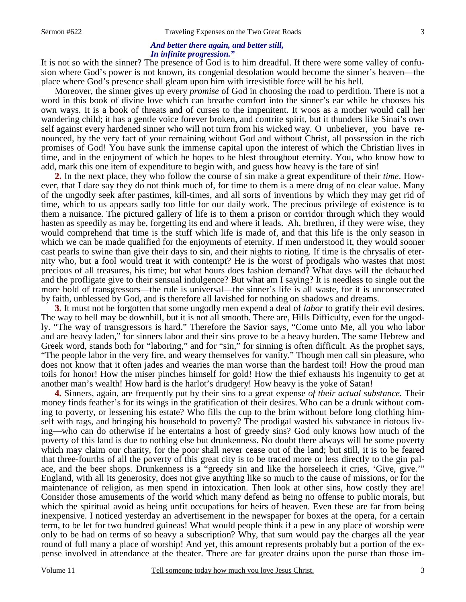# *And better there again, and better still, In infinite progression."*

It is not so with the sinner? The presence of God is to him dreadful. If there were some valley of confusion where God's power is not known, its congenial desolation would become the sinner's heaven—the place where God's presence shall gleam upon him with irresistible force will be his hell.

 Moreover, the sinner gives up every *promise* of God in choosing the road to perdition. There is not a word in this book of divine love which can breathe comfort into the sinner's ear while he chooses his own ways. It is a book of threats and of curses to the impenitent. It woos as a mother would call her wandering child; it has a gentle voice forever broken, and contrite spirit, but it thunders like Sinai's own self against every hardened sinner who will not turn from his wicked way. O unbeliever, you have renounced, by the very fact of your remaining without God and without Christ, all possession in the rich promises of God! You have sunk the immense capital upon the interest of which the Christian lives in time, and in the enjoyment of which he hopes to be blest throughout eternity. You, who know how to add, mark this one item of expenditure to begin with, and guess how heavy is the fare of sin!

**2.** In the next place, they who follow the course of sin make a great expenditure of their *time*. However, that I dare say they do not think much of, for time to them is a mere drug of no clear value. Many of the ungodly seek after pastimes, kill-times, and all sorts of inventions by which they may get rid of time, which to us appears sadly too little for our daily work. The precious privilege of existence is to them a nuisance. The pictured gallery of life is to them a prison or corridor through which they would hasten as speedily as may be, forgetting its end and where it leads. Ah, brethren, if they were wise, they would comprehend that time is the stuff which life is made of, and that this life is the only season in which we can be made qualified for the enjoyments of eternity. If men understood it, they would sooner cast pearls to swine than give their days to sin, and their nights to rioting. If time is the chrysalis of eternity who, but a fool would treat it with contempt? He is the worst of prodigals who wastes that most precious of all treasures, his time; but what hours does fashion demand? What days will the debauched and the profligate give to their sensual indulgence? But what am I saying? It is needless to single out the more bold of transgressors—the rule is universal—the sinner's life is all waste, for it is unconsecrated by faith, unblessed by God, and is therefore all lavished for nothing on shadows and dreams.

**3.** It must not be forgotten that some ungodly men expend a deal of *labor* to gratify their evil desires. The way to hell may be downhill, but it is not all smooth. There are, Hills Difficulty, even for the ungodly. "The way of transgressors is hard." Therefore the Savior says, "Come unto Me, all you who labor and are heavy laden," for sinners labor and their sins prove to be a heavy burden. The same Hebrew and Greek word, stands both for "laboring," and for "sin," for sinning is often difficult. As the prophet says, "The people labor in the very fire, and weary themselves for vanity." Though men call sin pleasure, who does not know that it often jades and wearies the man worse than the hardest toil! How the proud man toils for honor! How the miser pinches himself for gold! How the thief exhausts his ingenuity to get at another man's wealth! How hard is the harlot's drudgery! How heavy is the yoke of Satan!

**4.** Sinners, again, are frequently put by their sins to a great expense *of their actual substance.* Their money finds feather's for its wings in the gratification of their desires. Who can be a drunk without coming to poverty, or lessening his estate? Who fills the cup to the brim without before long clothing himself with rags, and bringing his household to poverty? The prodigal wasted his substance in riotous living—who can do otherwise if he entertains a host of greedy sins? God only knows how much of the poverty of this land is due to nothing else but drunkenness. No doubt there always will be some poverty which may claim our charity, for the poor shall never cease out of the land; but still, it is to be feared that three-fourths of all the poverty of this great city is to be traced more or less directly to the gin palace, and the beer shops. Drunkenness is a "greedy sin and like the horseleech it cries, 'Give, give.'" England, with all its generosity, does not give anything like so much to the cause of missions, or for the maintenance of religion, as men spend in intoxication. Then look at other sins, how costly they are! Consider those amusements of the world which many defend as being no offense to public morals, but which the spiritual avoid as being unfit occupations for heirs of heaven. Even these are far from being inexpensive. I noticed yesterday an advertisement in the newspaper for boxes at the opera, for a certain term, to be let for two hundred guineas! What would people think if a pew in any place of worship were only to be had on terms of so heavy a subscription? Why, that sum would pay the charges all the year round of full many a place of worship! And yet, this amount represents probably but a portion of the expense involved in attendance at the theater. There are far greater drains upon the purse than those im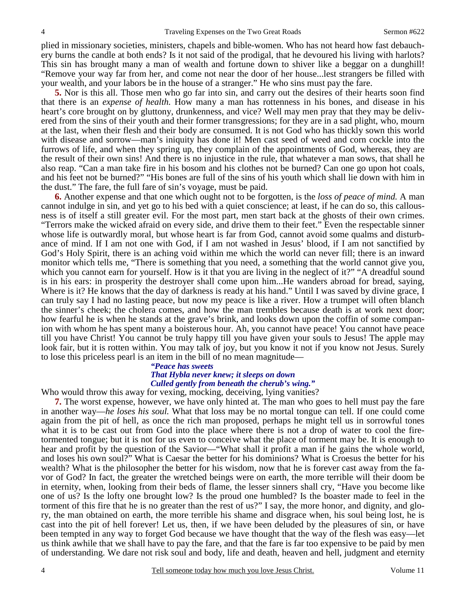plied in missionary societies, ministers, chapels and bible-women. Who has not heard how fast debauchery burns the candle at both ends? Is it not said of the prodigal, that he devoured his living with harlots? This sin has brought many a man of wealth and fortune down to shiver like a beggar on a dunghill! "Remove your way far from her, and come not near the door of her house...lest strangers be filled with your wealth, and your labors be in the house of a stranger." He who sins must pay the fare.

**5.** Nor is this all. Those men who go far into sin, and carry out the desires of their hearts soon find that there is an *expense of health.* How many a man has rottenness in his bones, and disease in his heart's core brought on by gluttony, drunkenness, and vice? Well may men pray that they may be delivered from the sins of their youth and their former transgressions; for they are in a sad plight, who, mourn at the last, when their flesh and their body are consumed. It is not God who has thickly sown this world with disease and sorrow—man's iniquity has done it! Men cast seed of weed and corn cockle into the furrows of life, and when they spring up, they complain of the appointments of God, whereas, they are the result of their own sins! And there is no injustice in the rule, that whatever a man sows, that shall he also reap. "Can a man take fire in his bosom and his clothes not be burned? Can one go upon hot coals, and his feet not be burned?" "His bones are full of the sins of his youth which shall lie down with him in the dust." The fare, the full fare of sin's voyage, must be paid.

**6.** Another expense and that one which ought not to be forgotten, is the *loss of peace of mind.* A man cannot indulge in sin, and yet go to his bed with a quiet conscience; at least, if he can do so, this callousness is of itself a still greater evil. For the most part, men start back at the ghosts of their own crimes. "Terrors make the wicked afraid on every side, and drive them to their feet." Even the respectable sinner whose life is outwardly moral, but whose heart is far from God, cannot avoid some qualms and disturbance of mind. If I am not one with God, if I am not washed in Jesus' blood, if I am not sanctified by God's Holy Spirit, there is an aching void within me which the world can never fill; there is an inward monitor which tells me, "There is something that you need, a something that the world cannot give you, which you cannot earn for yourself. How is it that you are living in the neglect of it?" "A dreadful sound is in his ears: in prosperity the destroyer shall come upon him...He wanders abroad for bread, saying, Where is it? He knows that the day of darkness is ready at his hand." Until I was saved by divine grace, I can truly say I had no lasting peace, but now my peace is like a river. How a trumpet will often blanch the sinner's cheek; the cholera comes, and how the man trembles because death is at work next door; how fearful he is when he stands at the grave's brink, and looks down upon the coffin of some companion with whom he has spent many a boisterous hour. Ah, you cannot have peace! You cannot have peace till you have Christ! You cannot be truly happy till you have given your souls to Jesus! The apple may look fair, but it is rotten within. You may talk of joy, but you know it not if you know not Jesus. Surely to lose this priceless pearl is an item in the bill of no mean magnitude—

## *"Peace has sweets That Hybla never knew; it sleeps on down Culled gently from beneath the cherub's wing."*

Who would throw this away for vexing, mocking, deceiving, lying vanities?

**7.** The worst expense, however, we have only hinted at. The man who goes to hell must pay the fare in another way—*he loses his soul.* What that loss may be no mortal tongue can tell. If one could come again from the pit of hell, as once the rich man proposed, perhaps he might tell us in sorrowful tones what it is to be cast out from God into the place where there is not a drop of water to cool the firetormented tongue; but it is not for us even to conceive what the place of torment may be. It is enough to hear and profit by the question of the Savior—"What shall it profit a man if he gains the whole world, and loses his own soul?" What is Caesar the better for his dominions? What is Croesus the better for his wealth? What is the philosopher the better for his wisdom, now that he is forever cast away from the favor of God? In fact, the greater the wretched beings were on earth, the more terrible will their doom be in eternity, when, looking from their beds of flame, the lesser sinners shall cry, "Have you become like one of us? Is the lofty one brought low? Is the proud one humbled? Is the boaster made to feel in the torment of this fire that he is no greater than the rest of us?" I say, the more honor, and dignity, and glory, the man obtained on earth, the more terrible his shame and disgrace when, his soul being lost, he is cast into the pit of hell forever! Let us, then, if we have been deluded by the pleasures of sin, or have been tempted in any way to forget God because we have thought that the way of the flesh was easy—let us think awhile that we shall have to pay the fare, and that the fare is far too expensive to be paid by men of understanding. We dare not risk soul and body, life and death, heaven and hell, judgment and eternity

4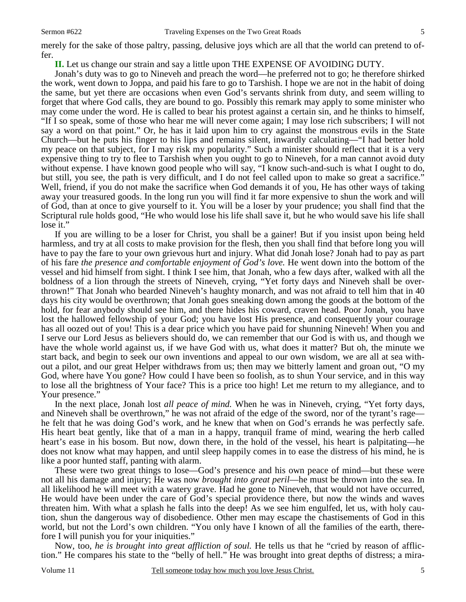merely for the sake of those paltry, passing, delusive joys which are all that the world can pretend to offer.

**II.** Let us change our strain and say a little upon THE EXPENSE OF AVOIDING DUTY.

 Jonah's duty was to go to Nineveh and preach the word—he preferred not to go; he therefore shirked the work, went down to Joppa, and paid his fare to go to Tarshish. I hope we are not in the habit of doing the same, but yet there are occasions when even God's servants shrink from duty, and seem willing to forget that where God calls, they are bound to go. Possibly this remark may apply to some minister who may come under the word. He is called to bear his protest against a certain sin, and he thinks to himself, "If I so speak, some of those who hear me will never come again; I may lose rich subscribers; I will not say a word on that point." Or, he has it laid upon him to cry against the monstrous evils in the State Church—but he puts his finger to his lips and remains silent, inwardly calculating—"I had better hold my peace on that subject, for I may risk my popularity." Such a minister should reflect that it is a very expensive thing to try to flee to Tarshish when you ought to go to Nineveh, for a man cannot avoid duty without expense. I have known good people who will say, "I know such-and-such is what I ought to do, but still, you see, the path is very difficult, and I do not feel called upon to make so great a sacrifice." Well, friend, if you do not make the sacrifice when God demands it of you, He has other ways of taking away your treasured goods. In the long run you will find it far more expensive to shun the work and will of God, than at once to give yourself to it. You will be a loser by your prudence; you shall find that the Scriptural rule holds good, "He who would lose his life shall save it, but he who would save his life shall lose it."

 If you are willing to be a loser for Christ, you shall be a gainer! But if you insist upon being held harmless, and try at all costs to make provision for the flesh, then you shall find that before long you will have to pay the fare to your own grievous hurt and injury. What did Jonah lose? Jonah had to pay as part of his fare *the presence and comfortable enjoyment of God's love.* He went down into the bottom of the vessel and hid himself from sight. I think I see him, that Jonah, who a few days after, walked with all the boldness of a lion through the streets of Nineveh, crying, "Yet forty days and Nineveh shall be overthrown!" That Jonah who bearded Nineveh's haughty monarch, and was not afraid to tell him that in 40 days his city would be overthrown; that Jonah goes sneaking down among the goods at the bottom of the hold, for fear anybody should see him, and there hides his coward, craven head. Poor Jonah, you have lost the hallowed fellowship of your God; you have lost His presence, and consequently your courage has all oozed out of you! This is a dear price which you have paid for shunning Nineveh! When you and I serve our Lord Jesus as believers should do, we can remember that our God is with us, and though we have the whole world against us, if we have God with us, what does it matter? But oh, the minute we start back, and begin to seek our own inventions and appeal to our own wisdom, we are all at sea without a pilot, and our great Helper withdraws from us; then may we bitterly lament and groan out, "O my God, where have You gone? How could I have been so foolish, as to shun Your service, and in this way to lose all the brightness of Your face? This is a price too high! Let me return to my allegiance, and to Your presence."

 In the next place, Jonah lost *all peace of mind.* When he was in Nineveh, crying, "Yet forty days, and Nineveh shall be overthrown," he was not afraid of the edge of the sword, nor of the tyrant's rage he felt that he was doing God's work, and he knew that when on God's errands he was perfectly safe. His heart beat gently, like that of a man in a happy, tranquil frame of mind, wearing the herb called heart's ease in his bosom. But now, down there, in the hold of the vessel, his heart is palpitating—he does not know what may happen, and until sleep happily comes in to ease the distress of his mind, he is like a poor hunted staff, panting with alarm.

 These were two great things to lose—God's presence and his own peace of mind—but these were not all his damage and injury; He was now *brought into great peril*—he must be thrown into the sea. In all likelihood he will meet with a watery grave. Had he gone to Nineveh, that would not have occurred, He would have been under the care of God's special providence there, but now the winds and waves threaten him. With what a splash he falls into the deep! As we see him engulfed, let us, with holy caution, shun the dangerous way of disobedience. Other men may escape the chastisements of God in this world, but not the Lord's own children. "You only have I known of all the families of the earth, therefore I will punish you for your iniquities."

 Now, too, *he is brought into great affliction of soul.* He tells us that he "cried by reason of affliction." He compares his state to the "belly of hell." He was brought into great depths of distress; a mira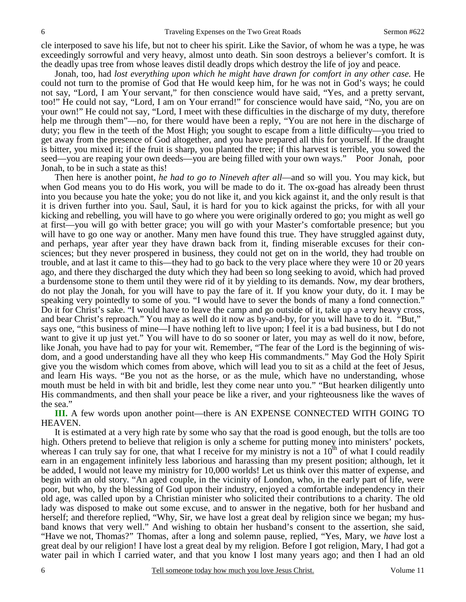cle interposed to save his life, but not to cheer his spirit. Like the Savior, of whom he was a type, he was exceedingly sorrowful and very heavy, almost unto death. Sin soon destroys a believer's comfort. It is the deadly upas tree from whose leaves distil deadly drops which destroy the life of joy and peace.

 Jonah, too, had *lost everything upon which he might have drawn for comfort in any other case.* He could not turn to the promise of God that He would keep him, for he was not in God's ways; he could not say, "Lord, I am Your servant," for then conscience would have said, "Yes, and a pretty servant, too!" He could not say, "Lord, I am on Your errand!" for conscience would have said, "No, you are on your own!" He could not say, "Lord, I meet with these difficulties in the discharge of my duty, therefore help me through them"—no, for there would have been a reply, "You are not here in the discharge of duty; you flew in the teeth of the Most High; you sought to escape from a little difficulty—you tried to get away from the presence of God altogether, and you have prepared all this for yourself. If the draught is bitter, you mixed it; if the fruit is sharp, you planted the tree; if this harvest is terrible, you sowed the seed—you are reaping your own deeds—you are being filled with your own ways." Poor Jonah, poor Jonah, to be in such a state as this!

 Then here is another point, *he had to go to Nineveh after all*—and so will you. You may kick, but when God means you to do His work, you will be made to do it. The ox-goad has already been thrust into you because you hate the yoke; you do not like it, and you kick against it, and the only result is that it is driven further into you. Saul, Saul, it is hard for you to kick against the pricks, for with all your kicking and rebelling, you will have to go where you were originally ordered to go; you might as well go at first—you will go with better grace; you will go with your Master's comfortable presence; but you will have to go one way or another. Many men have found this true. They have struggled against duty, and perhaps, year after year they have drawn back from it, finding miserable excuses for their consciences; but they never prospered in business, they could not get on in the world, they had trouble on trouble, and at last it came to this—they had to go back to the very place where they were 10 or 20 years ago, and there they discharged the duty which they had been so long seeking to avoid, which had proved a burdensome stone to them until they were rid of it by yielding to its demands. Now, my dear brothers, do not play the Jonah, for you will have to pay the fare of it. If you know your duty, do it. I may be speaking very pointedly to some of you. "I would have to sever the bonds of many a fond connection." Do it for Christ's sake. "I would have to leave the camp and go outside of it, take up a very heavy cross, and bear Christ's reproach." You may as well do it now as by-and-by, for you will have to do it. "But," says one, "this business of mine—I have nothing left to live upon; I feel it is a bad business, but I do not want to give it up just yet." You will have to do so sooner or later, you may as well do it now, before, like Jonah, you have had to pay for your wit. Remember, "The fear of the Lord is the beginning of wisdom, and a good understanding have all they who keep His commandments." May God the Holy Spirit give you the wisdom which comes from above, which will lead you to sit as a child at the feet of Jesus, and learn His ways. "Be you not as the horse, or as the mule, which have no understanding, whose mouth must be held in with bit and bridle, lest they come near unto you." "But hearken diligently unto His commandments, and then shall your peace be like a river, and your righteousness like the waves of the sea."

**III.** A few words upon another point—there is AN EXPENSE CONNECTED WITH GOING TO HEAVEN.

 It is estimated at a very high rate by some who say that the road is good enough, but the tolls are too high. Others pretend to believe that religion is only a scheme for putting money into ministers' pockets, whereas I can truly say for one, that what I receive for my ministry is not a  $10<sup>th</sup>$  of what I could readily earn in an engagement infinitely less laborious and harassing than my present position; although, let it be added, I would not leave my ministry for 10,000 worlds! Let us think over this matter of expense, and begin with an old story. "An aged couple, in the vicinity of London, who, in the early part of life, were poor, but who, by the blessing of God upon their industry, enjoyed a comfortable independency in their old age, was called upon by a Christian minister who solicited their contributions to a charity. The old lady was disposed to make out some excuse, and to answer in the negative, both for her husband and herself; and therefore replied, "Why, Sir, we have lost a great deal by religion since we began; my husband knows that very well." And wishing to obtain her husband's consent to the assertion, she said, "Have we not, Thomas?" Thomas, after a long and solemn pause, replied, "Yes, Mary, we *have* lost a great deal by our religion! I have lost a great deal by my religion. Before I got religion, Mary, I had got a water pail in which I carried water, and that you know I lost many years ago; and then I had an old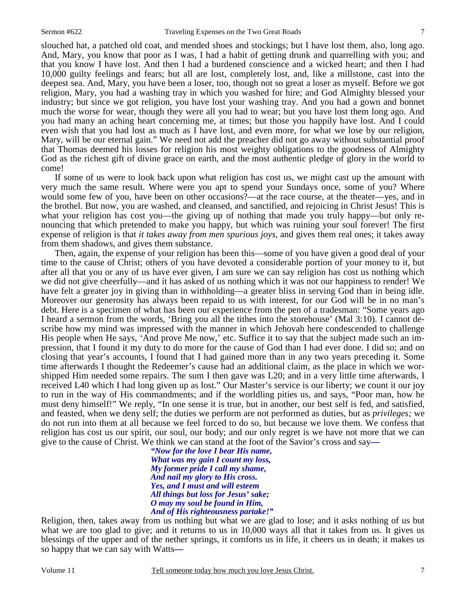slouched hat, a patched old coat, and mended shoes and stockings; but I have lost them, also, long ago. And, Mary, you know that poor as I was, I had a habit of getting drunk and quarrelling with you; and that you know I have lost. And then I had a burdened conscience and a wicked heart; and then I had 10,000 guilty feelings and fears; but all are lost, completely lost, and, like a millstone, cast into the deepest sea. And, Mary, you have been a loser, too, though not so great a loser as myself. Before we got religion, Mary, you had a washing tray in which you washed for hire; and God Almighty blessed your industry; but since we got religion, you have lost your washing tray. And you had a gown and bonnet much the worse for wear, though they were all you had to wear; but you have lost them long ago. And you had many an aching heart concerning me, at times; but those you happily have lost. And I could even wish that you had lost as much as I have lost, and even more, for what we lose by our religion, Mary, will be our eternal gain." We need not add the preacher did not go away without substantial proof that Thomas deemed his losses for religion his most weighty obligations to the goodness of Almighty God as the richest gift of divine grace on earth, and the most authentic pledge of glory in the world to come!

 If some of us were to look back upon what religion has cost us, we might cast up the amount with very much the same result. Where were you apt to spend your Sundays once, some of you? Where would some few of you, have been on other occasions?—at the race course, at the theater—yes, and in the brothel. But now, you are washed, and cleansed, and sanctified, and rejoicing in Christ Jesus! This is what your religion has cost you—the giving up of nothing that made you truly happy—but only renouncing that which pretended to make you happy, but which was ruining your soul forever! The first expense of religion is that *it takes away from men spurious joys,* and gives them real ones; it takes away from them shadows, and gives them substance.

 Then, again, the expense of your religion has been this—some of you have given a good deal of your time to the cause of Christ; others of you have devoted a considerable portion of your money to it, but after all that you or any of us have ever given, I am sure we can say religion has cost us nothing which we did not give cheerfully—and it has asked of us nothing which it was not our happiness to render! We have felt a greater joy in giving than in withholding—a greater bliss in serving God than in being idle. Moreover our generosity has always been repaid to us with interest, for our God will be in no man's debt. Here is a specimen of what has been our experience from the pen of a tradesman: "Some years ago I heard a sermon from the words, 'Bring you all the tithes into the storehouse' (Mal 3:10). I cannot describe how my mind was impressed with the manner in which Jehovah here condescended to challenge His people when He says, 'And prove Me now,' etc. Suffice it to say that the subject made such an impression, that I found it my duty to do more for the cause of God than I had ever done. I did so; and on closing that year's accounts, I found that I had gained more than in any two years preceding it. Some time afterwards I thought the Redeemer's cause had an additional claim, as the place in which we worshipped Him needed some repairs. The sum I then gave was L20; and in a very little time afterwards, I received L40 which I had long given up as lost." Our Master's service is our liberty; we count it our joy to run in the way of His commandments; and if the worldling pities us, and says, "Poor man, how he must deny himself!" We reply, "In one sense it is true, but in another, our best self is fed, and satisfied, and feasted, when we deny self; the duties we perform are not performed as duties, but as *privileges;* we do not run into them at all because we feel forced to do so, but because we love them. We confess that religion has cost us our spirit, our soul, our body; and our only regret is we have not more that we can give to the cause of Christ. We think we can stand at the foot of the Savior's cross and say*—* 

*"Now for the love I bear His name, What was my gain I count my loss, My former pride I call my shame, And nail my glory to His cross. Yes, and I must and will esteem All things but loss for Jesus' sake; O may my soul be found in Him, And of His righteousness partake!"* 

Religion, then, takes away from us nothing but what we are glad to lose; and it asks nothing of us but what we are too glad to give; and it returns to us in 10,000 ways all that it takes from us. It gives us blessings of the upper and of the nether springs, it comforts us in life, it cheers us in death; it makes us so happy that we can say with Watts*—*